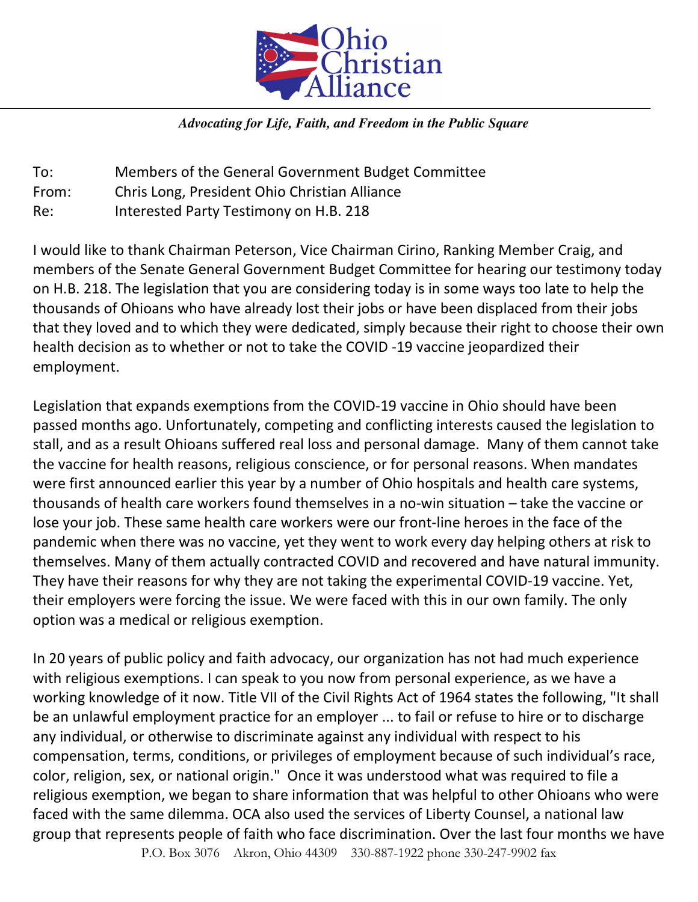

## *Advocating for Life, Faith, and Freedom in the Public Square*

To: Members of the General Government Budget Committee From: Chris Long, President Ohio Christian Alliance Re: Interested Party Testimony on H.B. 218

I would like to thank Chairman Peterson, Vice Chairman Cirino, Ranking Member Craig, and members of the Senate General Government Budget Committee for hearing our testimony today on H.B. 218. The legislation that you are considering today is in some ways too late to help the thousands of Ohioans who have already lost their jobs or have been displaced from their jobs that they loved and to which they were dedicated, simply because their right to choose their own health decision as to whether or not to take the COVID -19 vaccine jeopardized their employment.

Legislation that expands exemptions from the COVID-19 vaccine in Ohio should have been passed months ago. Unfortunately, competing and conflicting interests caused the legislation to stall, and as a result Ohioans suffered real loss and personal damage. Many of them cannot take the vaccine for health reasons, religious conscience, or for personal reasons. When mandates were first announced earlier this year by a number of Ohio hospitals and health care systems, thousands of health care workers found themselves in a no-win situation – take the vaccine or lose your job. These same health care workers were our front-line heroes in the face of the pandemic when there was no vaccine, yet they went to work every day helping others at risk to themselves. Many of them actually contracted COVID and recovered and have natural immunity. They have their reasons for why they are not taking the experimental COVID-19 vaccine. Yet, their employers were forcing the issue. We were faced with this in our own family. The only option was a medical or religious exemption.

In 20 years of public policy and faith advocacy, our organization has not had much experience with religious exemptions. I can speak to you now from personal experience, as we have a working knowledge of it now. Title VII of the Civil Rights Act of 1964 states the following, "It shall be an unlawful employment practice for an employer ... to fail or refuse to hire or to discharge any individual, or otherwise to discriminate against any individual with respect to his compensation, terms, conditions, or privileges of employment because of such individual's race, color, religion, sex, or national origin." Once it was understood what was required to file a religious exemption, we began to share information that was helpful to other Ohioans who were faced with the same dilemma. OCA also used the services of Liberty Counsel, a national law group that represents people of faith who face discrimination. Over the last four months we have